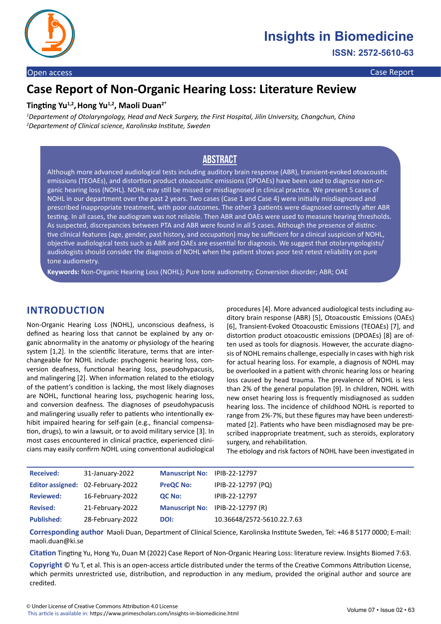

#### Open access Case Report

**ISSN: 2572-5610-63**

# **Case Report of Non-Organic Hearing Loss: Literature Review**

## **Tingting Yu1,2,Hong Yu1,2, Maoli Duan2\***

*1 Departement of Otolaryngology, Head and Neck Surgery, the First Hospital, Jilin University, Changchun, China 2 Departement of Clinical science, Karolinska Institute, Sweden* 

## **Abstract**

Although more advanced audiological tests including auditory brain response (ABR), transient-evoked otoacoustic emissions (TEOAEs), and distortion product otoacoustic emissions (DPOAEs) have been used to diagnose non-organic hearing loss (NOHL). NOHL may still be missed or misdiagnosed in clinical practice. We present 5 cases of NOHL in our department over the past 2 years. Two cases (Case 1 and Case 4) were initially misdiagnosed and prescribed inappropriate treatment, with poor outcomes. The other 3 patients were diagnosed correctly after ABR testing. In all cases, the audiogram was not reliable. Then ABR and OAEs were used to measure hearing thresholds. As suspected, discrepancies between PTA and ABR were found in all 5 cases. Although the presence of distinctive clinical features (age, gender, past history, and occupation) may be sufficient for a clinical suspicion of NOHL, objective audiological tests such as ABR and OAEs are essential for diagnosis. We suggest that otolaryngologists/ audiologists should consider the diagnosis of NOHL when the patient shows poor test retest reliability on pure tone audiometry.

**Keywords:** Non-Organic Hearing Loss (NOHL); Pure tone audiometry; Conversion disorder; ABR; OAE

## **INTRODUCTION**

Non-Organic Hearing Loss (NOHL), unconscious deafness, is defined as hearing loss that cannot be explained by any organic abnormality in the anatomy or physiology of the hearing system [1,2]. In the scientific literature, terms that are interchangeable for NOHL include: psychogenic hearing loss, conversion deafness, functional hearing loss, pseudohypacusis, and malingering [2]. When information related to the etiology of the patient's condition is lacking, the most likely diagnoses are NOHL, functional hearing loss, psychogenic hearing loss, and conversion deafness. The diagnoses of pseudohypacusis and malingering usually refer to patients who intentionally exhibit impaired hearing for self-gain (e.g., financial compensation, drugs), to win a lawsuit, or to avoid military service [3]. In most cases encountered in clinical practice, experienced clinicians may easily confirm NOHL using conventional audiological procedures [4]. More advanced audiological tests including auditory brain response (ABR) [5], Otoacoustic Emissions (OAEs) [6], Transient-Evoked Otoacoustic Emissions (TEOAEs) [7], and distortion product otoacoustic emissions (DPOAEs) [8] are often used as tools for diagnosis. However, the accurate diagnosis of NOHL remains challenge, especially in cases with high risk for actual hearing loss. For example, a diagnosis of NOHL may be overlooked in a patient with chronic hearing loss or hearing loss caused by head trauma. The prevalence of NOHL is less than 2% of the general population [9]. In children, NOHL with new onset hearing loss is frequently misdiagnosed as sudden hearing loss. The incidence of childhood NOHL is reported to range from 2%-7%, but these figures may have been underestimated [2]. Patients who have been misdiagnosed may be prescribed inappropriate treatment, such as steroids, exploratory surgery, and rehabilitation.

The etiology and risk factors of NOHL have been investigated in

| <b>Received:</b>  | 31-January-2022                   | Manuscript No: IPIB-22-12797 |                                  |
|-------------------|-----------------------------------|------------------------------|----------------------------------|
|                   | Editor assigned: 02-February-2022 | <b>PreQC No:</b>             | IPIB-22-12797 (PQ)               |
| <b>Reviewed:</b>  | 16-February-2022                  | <b>QC No:</b>                | IPIB-22-12797                    |
| <b>Revised:</b>   | 21-February-2022                  |                              | Manuscript No: IPIB-22-12797 (R) |
| <b>Published:</b> | 28-February-2022                  | DOI:                         | 10.36648/2572-5610.22.7.63       |

**Corresponding author** Maoli Duan, Department of Clinical Science, Karolinska Institute Sweden, Tel: +46 8 5177 0000; E-mail: maoli.duan@ki.se

**Citation** Tingting Yu, Hong Yu, Duan M (2022) Case Report of Non-Organic Hearing Loss: literature review. Insights Biomed 7:63.

**Copyright** © Yu T, et al. This is an open-access article distributed under the terms of the Creative Commons Attribution License, which permits unrestricted use, distribution, and reproduction in any medium, provided the original author and source are credited.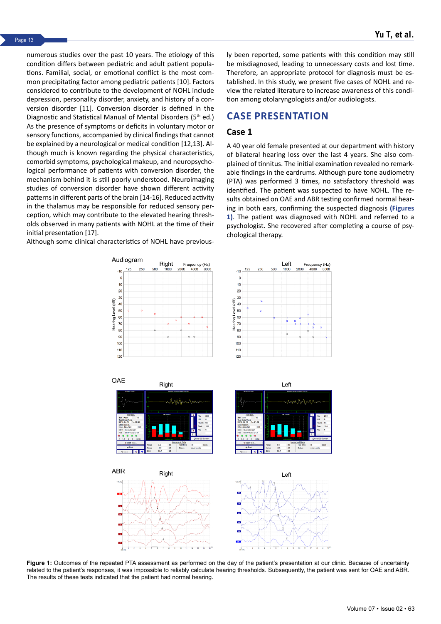numerous studies over the past 10 years. The etiology of this condition differs between pediatric and adult patient populations. Familial, social, or emotional conflict is the most common precipitating factor among pediatric patients [10]. Factors considered to contribute to the development of NOHL include depression, personality disorder, anxiety, and history of a conversion disorder [11]. Conversion disorder is defined in the Diagnostic and Statistical Manual of Mental Disorders (5th ed.) As the presence of symptoms or deficits in voluntary motor or sensory functions, accompanied by clinical findings that cannot be explained by a neurological or medical condition [12,13]. Although much is known regarding the physical characteristics, comorbid symptoms, psychological makeup, and neuropsychological performance of patients with conversion disorder, the mechanism behind it is still poorly understood. Neuroimaging studies of conversion disorder have shown different activity patterns in different parts of the brain [14-16]. Reduced activity in the thalamus may be responsible for reduced sensory perception, which may contribute to the elevated hearing thresholds observed in many patients with NOHL at the time of their initial presentation [17].

Although some clinical characteristics of NOHL have previous-

ly been reported, some patients with this condition may still be misdiagnosed, leading to unnecessary costs and lost time. Therefore, an appropriate protocol for diagnosis must be established. In this study, we present five cases of NOHL and review the related literature to increase awareness of this condition among otolaryngologists and/or audiologists.

## **CASE PRESENTATION**

#### **Case 1**

A 40 year old female presented at our department with history of bilateral hearing loss over the last 4 years. She also complained of tinnitus. The initial examination revealed no remarkable findings in the eardrums. Although pure tone audiometry (PTA) was performed 3 times, no satisfactory threshold was identified. The patient was suspected to have NOHL. The results obtained on OAE and ABR testing confirmed normal hearing in both ears, confirming the suspected diagnosis **(Figures 1)**. The patient was diagnosed with NOHL and referred to a psychologist. She recovered after completing a course of psychological therapy.



**Figure 1:** Outcomes of the repeated PTA assessment as performed on the day of the patient's presentation at our clinic. Because of uncertainty related to the patient's responses, it was impossible to reliably calculate hearing thresholds. Subsequently, the patient was sent for OAE and ABR. The results of these tests indicated that the patient had normal hearing.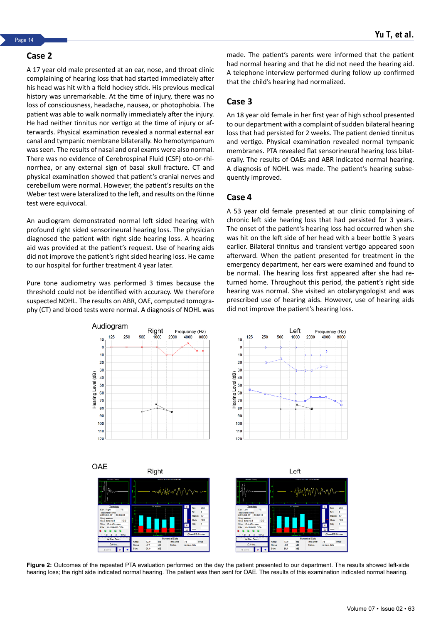#### **Case 2**

A 17 year old male presented at an ear, nose, and throat clinic complaining of hearing loss that had started immediately after his head was hit with a field hockey stick. His previous medical history was unremarkable. At the time of injury, there was no loss of consciousness, headache, nausea, or photophobia. The patient was able to walk normally immediately after the injury. He had neither tinnitus nor vertigo at the time of injury or afterwards. Physical examination revealed a normal external ear canal and tympanic membrane bilaterally. No hemotympanum was seen. The results of nasal and oral exams were also normal. There was no evidence of Cerebrospinal Fluid (CSF) oto-or-rhinorrhea, or any external sign of basal skull fracture. CT and physical examination showed that patient's cranial nerves and cerebellum were normal. However, the patient's results on the Weber test were lateralized to the left, and results on the Rinne test were equivocal.

An audiogram demonstrated normal left sided hearing with profound right sided sensorineural hearing loss. The physician diagnosed the patient with right side hearing loss. A hearing aid was provided at the patient's request. Use of hearing aids did not improve the patient's right sided hearing loss. He came to our hospital for further treatment 4 year later.

Pure tone audiometry was performed 3 times because the threshold could not be identified with accuracy. We therefore suspected NOHL. The results on ABR, OAE, computed tomography (CT) and blood tests were normal. A diagnosis of NOHL was made. The patient's parents were informed that the patient had normal hearing and that he did not need the hearing aid. A telephone interview performed during follow up confirmed that the child's hearing had normalized.

#### **Case 3**

An 18 year old female in her first year of high school presented to our department with a complaint of sudden bilateral hearing loss that had persisted for 2 weeks. The patient denied tinnitus and vertigo. Physical examination revealed normal tympanic membranes. PTA revealed flat sensorineural hearing loss bilaterally. The results of OAEs and ABR indicated normal hearing. A diagnosis of NOHL was made. The patient's hearing subsequently improved.

#### **Case 4**

A 53 year old female presented at our clinic complaining of chronic left side hearing loss that had persisted for 3 years. The onset of the patient's hearing loss had occurred when she was hit on the left side of her head with a beer bottle 3 years earlier. Bilateral tinnitus and transient vertigo appeared soon afterward. When the patient presented for treatment in the emergency department, her ears were examined and found to be normal. The hearing loss first appeared after she had returned home. Throughout this period, the patient's right side hearing was normal. She visited an otolaryngologist and was prescribed use of hearing aids. However, use of hearing aids did not improve the patient's hearing loss.



**Figure 2:** Outcomes of the repeated PTA evaluation performed on the day the patient presented to our department. The results showed left-side hearing loss; the right side indicated normal hearing. The patient was then sent for OAE. The results of this examination indicated normal hearing.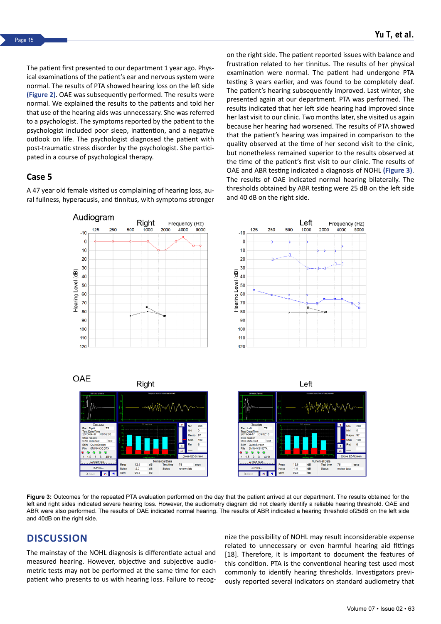The patient first presented to our department 1 year ago. Physical examinations of the patient's ear and nervous system were normal. The results of PTA showed hearing loss on the left side **(Figure 2)**. OAE was subsequently performed. The results were normal. We explained the results to the patients and told her that use of the hearing aids was unnecessary. She was referred to a psychologist. The symptoms reported by the patient to the psychologist included poor sleep, inattention, and a negative outlook on life. The psychologist diagnosed the patient with post-traumatic stress disorder by the psychologist. She participated in a course of psychological therapy.

### **Case 5**

A 47 year old female visited us complaining of hearing loss, aural fullness, hyperacusis, and tinnitus, with symptoms stronger

Audiogram

on the right side. The patient reported issues with balance and frustration related to her tinnitus. The results of her physical examination were normal. The patient had undergone PTA testing 3 years earlier, and was found to be completely deaf. The patient's hearing subsequently improved. Last winter, she presented again at our department. PTA was performed. The results indicated that her left side hearing had improved since her last visit to our clinic. Two months later, she visited us again because her hearing had worsened. The results of PTA showed that the patient's hearing was impaired in comparison to the quality observed at the time of her second visit to the clinic, but nonetheless remained superior to the results observed at the time of the patient's first visit to our clinic. The results of OAE and ABR testing indicated a diagnosis of NOHL **(Figure 3)**. The results of OAE indicated normal hearing bilaterally. The thresholds obtained by ABR testing were 25 dB on the left side and 40 dB on the right side.



**Figure 3:** Outcomes for the repeated PTA evaluation performed on the day that the patient arrived at our department. The results obtained for the left and right sides indicated severe hearing loss. However, the audiometry diagram did not clearly identify a reliable hearing threshold. OAE and ABR were also performed. The results of OAE indicated normal hearing. The results of ABR indicated a hearing threshold of25dB on the left side and 40dB on the right side.

# **DISCUSSION**

The mainstay of the NOHL diagnosis is differentiate actual and measured hearing. However, objective and subjective audiometric tests may not be performed at the same time for each patient who presents to us with hearing loss. Failure to recognize the possibility of NOHL may result inconsiderable expense related to unnecessary or even harmful hearing aid fittings [18]. Therefore, it is important to document the features of this condition. PTA is the conventional hearing test used most commonly to identify hearing thresholds. Investigators previously reported several indicators on standard audiometry that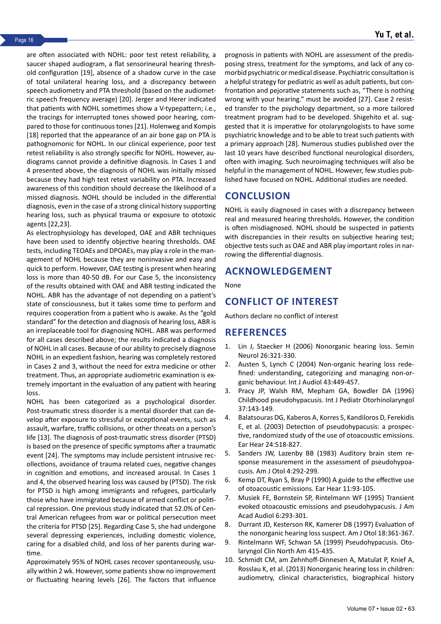are often associated with NOHL: poor test retest reliability, a saucer shaped audiogram, a flat sensorineural hearing threshold configuration [19], absence of a shadow curve in the case of total unilateral hearing loss, and a discrepancy between speech audiometry and PTA threshold (based on the audiometric speech frequency average) [20]. Jerger and Herer indicated that patients with NOHL sometimes show a V-typepattern; i.e., the tracings for interrupted tones showed poor hearing, compared to those for continuous tones [21]. Holenweg and Kompis [18] reported that the appearance of an air bone gap on PTA is pathognomonic for NOHL. In our clinical experience, poor test retest reliability is also strongly specific for NOHL. However, audiograms cannot provide a definitive diagnosis. In Cases 1 and 4 presented above, the diagnosis of NOHL was initially missed because they had high test retest variability on PTA. Increased awareness of this condition should decrease the likelihood of a missed diagnosis. NOHL should be included in the differential diagnosis, even in the case of a strong clinical history supporting hearing loss, such as physical trauma or exposure to ototoxic agents [22,23].

As electrophysiology has developed, OAE and ABR techniques have been used to identify objective hearing thresholds. OAE tests, including TEOAEs and DPOAEs, may play a role in the management of NOHL because they are noninvasive and easy and quick to perform. However, OAE testing is present when hearing loss is more than 40-50 dB. For our Case 5, the inconsistency of the results obtained with OAE and ABR testing indicated the NOHL. ABR has the advantage of not depending on a patient's state of consciousness, but it takes some time to perform and requires cooperation from a patient who is awake. As the "gold standard" for the detection and diagnosis of hearing loss, ABR is an irreplaceable tool for diagnosing NOHL. ABR was performed for all cases described above; the results indicated a diagnosis of NOHL in all cases. Because of our ability to precisely diagnose NOHL in an expedient fashion, hearing was completely restored in Cases 2 and 3, without the need for extra medicine or other treatment. Thus, an appropriate audiometric examination is extremely important in the evaluation of any patient with hearing loss.

NOHL has been categorized as a psychological disorder. Post-traumatic stress disorder is a mental disorder that can develop after exposure to stressful or exceptional events, such as assault, warfare, traffic collisions, or other threats on a person's life [13]. The diagnosis of post-traumatic stress disorder (PTSD) is based on the presence of specific symptoms after a traumatic event [24]. The symptoms may include persistent intrusive recollections, avoidance of trauma related cues, negative changes in cognition and emotions, and increased arousal. In Cases 1 and 4, the observed hearing loss was caused by (PTSD). The risk for PTSD is high among immigrants and refugees, particularly those who have immigrated because of armed conflict or political repression. One previous study indicated that 52.0% of Central American refugees from war or political persecution meet the criteria for PTSD [25]. Regarding Case 5, she had undergone several depressing experiences, including domestic violence, caring for a disabled child, and loss of her parents during wartime.

Approximately 95% of NOHL cases recover spontaneously, usually within 2 wk. However, some patients show no improvement or fluctuating hearing levels [26]. The factors that influence

prognosis in patients with NOHL are assessment of the predisposing stress, treatment for the symptoms, and lack of any comorbid psychiatric or medical disease. Psychiatric consultation is a helpful strategy for pediatric as well as adult patients, but confrontation and pejorative statements such as, "There is nothing wrong with your hearing." must be avoided [27]. Case 2 resisted transfer to the psychology department, so a more tailored treatment program had to be developed. Shigehito et al. suggested that it is imperative for otolaryngologists to have some psychiatric knowledge and to be able to treat such patients with a primary approach [28]. Numerous studies published over the last 10 years have described functional neurological disorders, often with imaging. Such neuroimaging techniques will also be helpful in the management of NOHL. However, few studies published have focused on NOHL. Additional studies are needed.

# **CONCLUSION**

NOHL is easily diagnosed in cases with a discrepancy between real and measured hearing thresholds. However, the condition is often misdiagnosed. NOHL should be suspected in patients with discrepancies in their results on subjective hearing test; objective tests such as OAE and ABR play important roles in narrowing the differential diagnosis.

## **ACKNOWLEDGEMENT**

None

# **CONFLICT OF INTEREST**

Authors declare no conflict of interest

## **REFERENCES**

- 1. Lin J, Staecker H (2006) [Nonorganic hearing loss.](https://www.thieme-connect.de/products/ejournals/abstract/10.1055/s-2006-945518) Semin Neurol 26:321-330.
- 2. Austen S, Lynch C (2004) [Non-organic hearing loss rede](https://www.tandfonline.com/doi/abs/10.1080/14992020400050057)[fined: understanding, categorizing and managing non-or](https://www.tandfonline.com/doi/abs/10.1080/14992020400050057)[ganic behaviour.](https://www.tandfonline.com/doi/abs/10.1080/14992020400050057) Int J Audiol 43:449-457.
- 3. Pracy JP, Walsh RM, Mepham GA, Bowdler DA (1996) [Childhood pseudohypacusis.](https://www.sciencedirect.com/science/article/abs/pii/0165587696013973?via%3Dihub) Int J Pediatr Otorhinolaryngol 37:143-149.
- 4. Balatsouras DG, Kaberos A, Korres S, Kandiloros D, Ferekidis E, et al. (2003) [Detection of pseudohypacusis: a prospec](https://journals.lww.com/ear-hearing/Abstract/2003/12000/Detection_of_Pseudohypacusis__A_Prospective,.6.aspx)[tive, randomized study of the use of otoacoustic emissions.](https://journals.lww.com/ear-hearing/Abstract/2003/12000/Detection_of_Pseudohypacusis__A_Prospective,.6.aspx) Ear Hear 24:518-827.
- 5. Sanders JW, Lazenby BB (1983) [Auditory brain stem re](https://europepmc.org/article/med/6859236)[sponse measurement in the assessment of pseudohypoa](https://europepmc.org/article/med/6859236)[cusis](https://europepmc.org/article/med/6859236). Am J Otol 4:292-299.
- 6. Kemp DT, Ryan S, Bray P (1990) [A guide to the effective use](https://journals.lww.com/ear-hearing/Abstract/1990/04000/A_Guide_to_the_Effective_Use_of_Otoacoustic.4.aspx) [of otoacoustic emissions](https://journals.lww.com/ear-hearing/Abstract/1990/04000/A_Guide_to_the_Effective_Use_of_Otoacoustic.4.aspx). Ear Hear 11:93-105.
- 7. Musiek FE, Bornstein SP, Rintelmann WF (1995) [Transient](https://europepmc.org/article/med/7548929) [evoked otoacoustic emissions and pseudohypacusis.](https://europepmc.org/article/med/7548929) J Am Acad Audiol 6:293-301.
- 8. Durrant JD, Kesterson RK, Kamerer DB (1997) [Evaluation of](https://europepmc.org/article/med/9149832) [the nonorganic hearing loss suspect.](https://europepmc.org/article/med/9149832) Am J Otol 18:361-367.
- 9. Rintelmann WF, Schwan SA (1999) [Pseudohypacusis](https://europepmc.org/article/med/1857618). Otolaryngol Clin North Am 415-435.
- 10. Schmidt CM, am Zehnhoff-Dinnesen A, Matulat P, Knief A, Rosslau K, et al. (2013) [Nonorganic hearing loss in children:](https://www.sciencedirect.com/science/article/abs/pii/S0165587613002140?via%3Dihub) [audiometry, clinical characteristics, biographical history](https://www.sciencedirect.com/science/article/abs/pii/S0165587613002140?via%3Dihub)